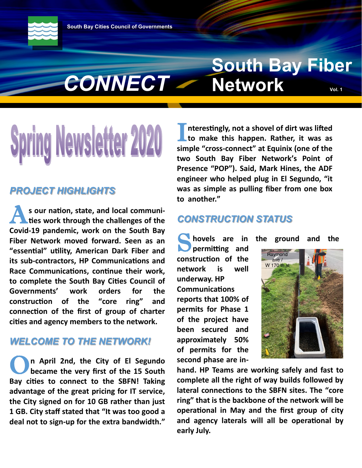*CONNECT*

# **South Bay Fiber Network**

# g Newsletter 20

#### *PROJECT HIGHLIGHTS*

**A** s our nation, state, and local communities work through the challenges of the **s our nation, state, and local communi-Covid-19 pandemic, work on the South Bay Fiber Network moved forward. Seen as an "essential" utility, American Dark Fiber and its sub-contractors, HP Communications and Race Communications, continue their work, to complete the South Bay Cities Council of Governments' work orders for the construction of the "core ring" and connection of the first of group of charter cities and agency members to the network.** 

#### *WELCOME TO THE NETWORK!*

O<sup>n</sup><br>bo **n April 2nd, the City of El Segundo became the very first of the 15 South Bay cities to connect to the SBFN! Taking advantage of the great pricing for IT service, the City signed on for 10 GB rather than just 1 GB. City staff stated that "It was too good a deal not to sign-up for the extra bandwidth."** 

I nterestingly, not a shovel of dirt was lifted<br>to make this happen. Rather, it was as **nterestingly, not a shovel of dirt was lifted simple "cross-connect" at Equinix (one of the two South Bay Fiber Network's Point of Presence "POP"). Said, Mark Hines, the ADF engineer who helped plug in El Segundo, "it was as simple as pulling fiber from one box to another."**

#### *CONSTRUCTION STATUS*

**S** hovels are in the ground and the **permitting and permitting and construction of the network is well underway. HP Communications reports that 100% of permits for Phase 1 of the project have been secured and approximately 50% of permits for the second phase are in-**



**hand. HP Teams are working safely and fast to complete all the right of way builds followed by lateral connections to the SBFN sites. The "core ring" that is the backbone of the network will be operational in May and the first group of city and agency laterals will all be operational by early July.**